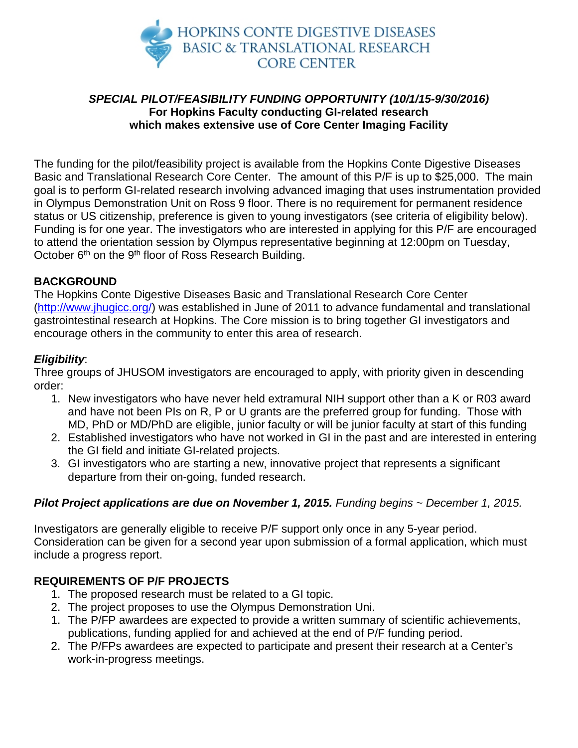

# *SPECIAL PILOT/FEASIBILITY FUNDING OPPORTUNITY (10/1/15-9/30/2016)* **For Hopkins Faculty conducting GI-related research which makes extensive use of Core Center Imaging Facility**

The funding for the pilot/feasibility project is available from the Hopkins Conte Digestive Diseases Basic and Translational Research Core Center. The amount of this P/F is up to \$25,000. The main goal is to perform GI-related research involving advanced imaging that uses instrumentation provided in Olympus Demonstration Unit on Ross 9 floor. There is no requirement for permanent residence status or US citizenship, preference is given to young investigators (see criteria of eligibility below). Funding is for one year. The investigators who are interested in applying for this P/F are encouraged to attend the orientation session by Olympus representative beginning at 12:00pm on Tuesday, October 6<sup>th</sup> on the 9<sup>th</sup> floor of Ross Research Building.

## **BACKGROUND**

The Hopkins Conte Digestive Diseases Basic and Translational Research Core Center [\(http://www.jhugicc.org/\)](http://www.jhugicc.org/) was established in June of 2011 to advance fundamental and translational gastrointestinal research at Hopkins. The Core mission is to bring together GI investigators and encourage others in the community to enter this area of research.

### *Eligibility*:

Three groups of JHUSOM investigators are encouraged to apply, with priority given in descending order:

- 1. New investigators who have never held extramural NIH support other than a K or R03 award and have not been PIs on R, P or U grants are the preferred group for funding. Those with MD, PhD or MD/PhD are eligible, junior faculty or will be junior faculty at start of this funding
- 2. Established investigators who have not worked in GI in the past and are interested in entering the GI field and initiate GI-related projects.
- 3. GI investigators who are starting a new, innovative project that represents a significant departure from their on-going, funded research.

### *Pilot Project applications are due on November 1, 2015. Funding begins ~ December 1, 2015.*

Investigators are generally eligible to receive P/F support only once in any 5-year period. Consideration can be given for a second year upon submission of a formal application, which must include a progress report.

## **REQUIREMENTS OF P/F PROJECTS**

- 1. The proposed research must be related to a GI topic.
- 2. The project proposes to use the Olympus Demonstration Uni.
- 1. The P/FP awardees are expected to provide a written summary of scientific achievements, publications, funding applied for and achieved at the end of P/F funding period.
- 2. The P/FPs awardees are expected to participate and present their research at a Center's work-in-progress meetings.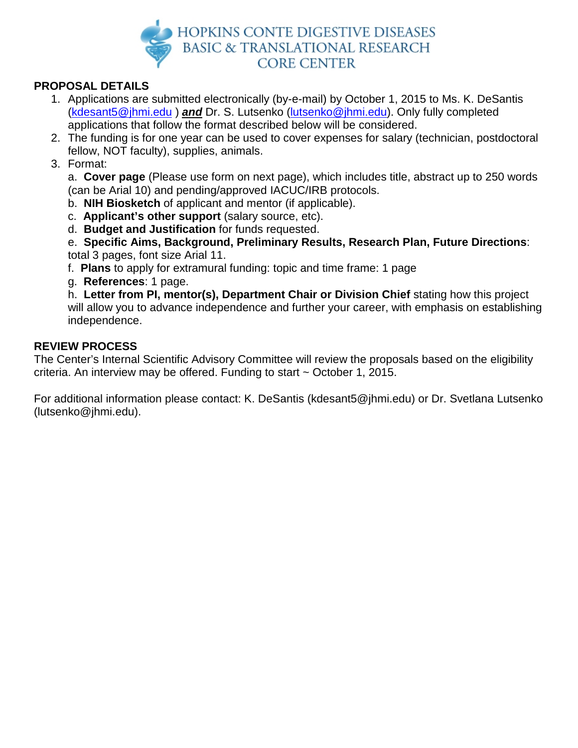

# **PROPOSAL DETAILS**

- 1. Applications are submitted electronically (by-e-mail) by October 1, 2015 to Ms. K. DeSantis [\(kdesant5@jhmi.edu](mailto:kdesant5@jhmi.edu) ) *and* Dr. S. Lutsenko [\(lutsenko@jhmi.edu\)](mailto:lutsenko@jhmi.edu). Only fully completed applications that follow the format described below will be considered.
- 2. The funding is for one year can be used to cover expenses for salary (technician, postdoctoral fellow, NOT faculty), supplies, animals.
- 3. Format:

a. **Cover page** (Please use form on next page), which includes title, abstract up to 250 words (can be Arial 10) and pending/approved IACUC/IRB protocols.

- b. **NIH Biosketch** of applicant and mentor (if applicable).
- c. **Applicant's other support** (salary source, etc).
- d. **Budget and Justification** for funds requested.

e. **Specific Aims, Background, Preliminary Results, Research Plan, Future Directions**: total 3 pages, font size Arial 11.

- f. **Plans** to apply for extramural funding: topic and time frame: 1 page
- g. **References**: 1 page.

h. **Letter from PI, mentor(s), Department Chair or Division Chief** stating how this project will allow you to advance independence and further your career, with emphasis on establishing independence.

## **REVIEW PROCESS**

The Center's Internal Scientific Advisory Committee will review the proposals based on the eligibility criteria. An interview may be offered. Funding to start ~ October 1, 2015.

For additional information please contact: K. DeSantis (kdesant5@jhmi.edu) or Dr. Svetlana Lutsenko (lutsenko@jhmi.edu).